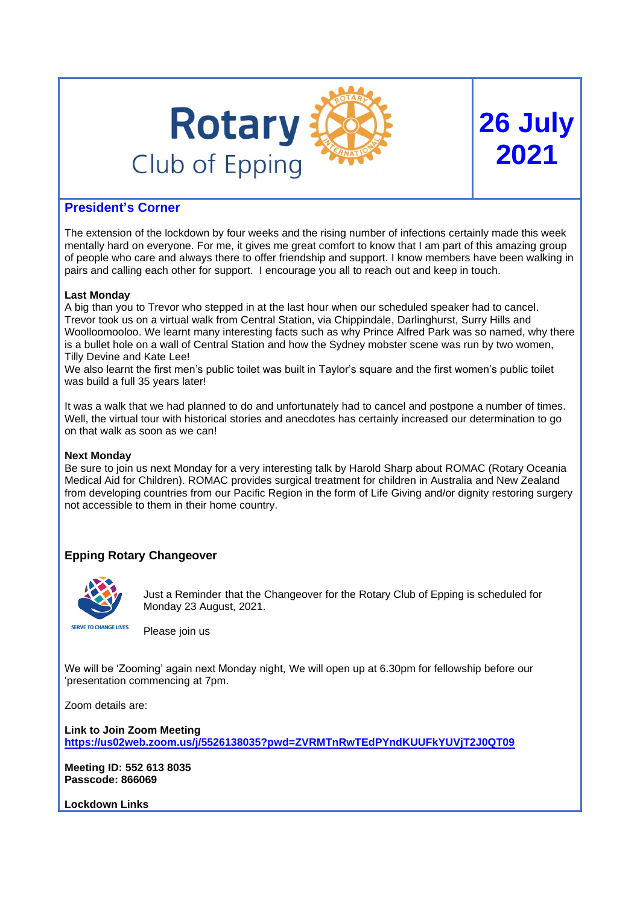

# **26 July 2021**

## **President's Corner**

The extension of the lockdown by four weeks and the rising number of infections certainly made this week mentally hard on everyone. For me, it gives me great comfort to know that I am part of this amazing group of people who care and always there to offer friendship and support. I know members have been walking in pairs and calling each other for support. I encourage you all to reach out and keep in touch.

## **Last Monday**

A big than you to Trevor who stepped in at the last hour when our scheduled speaker had to cancel. Trevor took us on a virtual walk from Central Station, via Chippindale, Darlinghurst, Surry Hills and Woolloomooloo. We learnt many interesting facts such as why Prince Alfred Park was so named, why there is a bullet hole on a wall of Central Station and how the Sydney mobster scene was run by two women, Tilly Devine and Kate Lee!

We also learnt the first men's public toilet was built in Taylor's square and the first women's public toilet was build a full 35 years later!

It was a walk that we had planned to do and unfortunately had to cancel and postpone a number of times. Well, the virtual tour with historical stories and anecdotes has certainly increased our determination to go on that walk as soon as we can!

### **Next Monday**

Be sure to join us next Monday for a very interesting talk by Harold Sharp about ROMAC (Rotary Oceania Medical Aid for Children). ROMAC provides surgical treatment for children in Australia and New Zealand from developing countries from our Pacific Region in the form of Life Giving and/or dignity restoring surgery not accessible to them in their home country.

## **Epping Rotary Changeover**



Just a Reminder that the Changeover for the Rotary Club of Epping is scheduled for Monday 23 August, 2021.

Please join us

We will be 'Zooming' again next Monday night, We will open up at 6.30pm for fellowship before our 'presentation commencing at 7pm.

Zoom details are:

**Link to Join Zoom Meeting <https://us02web.zoom.us/j/5526138035?pwd=ZVRMTnRwTEdPYndKUUFkYUVjT2J0QT09>**

**Meeting ID: 552 613 8035 Passcode: 866069**

**Lockdown Links**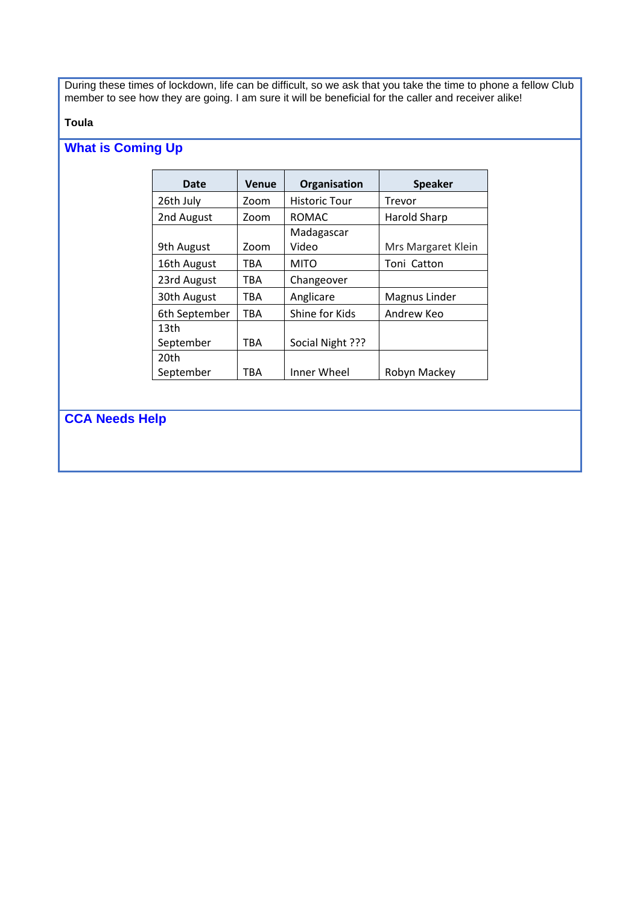During these times of lockdown, life can be difficult, so we ask that you take the time to phone a fellow Club member to see how they are going. I am sure it will be beneficial for the caller and receiver alike!

### **Toula**

## **What is Coming Up**

| Date             | <b>Venue</b> | Organisation         | <b>Speaker</b>      |
|------------------|--------------|----------------------|---------------------|
| 26th July        | Zoom         | <b>Historic Tour</b> | Trevor              |
| 2nd August       | Zoom         | <b>ROMAC</b>         | <b>Harold Sharp</b> |
|                  |              | Madagascar           |                     |
| 9th August       | Zoom         | Video                | Mrs Margaret Klein  |
| 16th August      | TBA          | <b>MITO</b>          | Toni Catton         |
| 23rd August      | TBA          | Changeover           |                     |
| 30th August      | TBA          | Anglicare            | Magnus Linder       |
| 6th September    | TBA          | Shine for Kids       | Andrew Keo          |
| 13 <sub>th</sub> |              |                      |                     |
| September        | TBA          | Social Night ???     |                     |
| 20th             |              |                      |                     |
| September        | TBA          | Inner Wheel          | Robyn Mackey        |

**CCA Needs Help**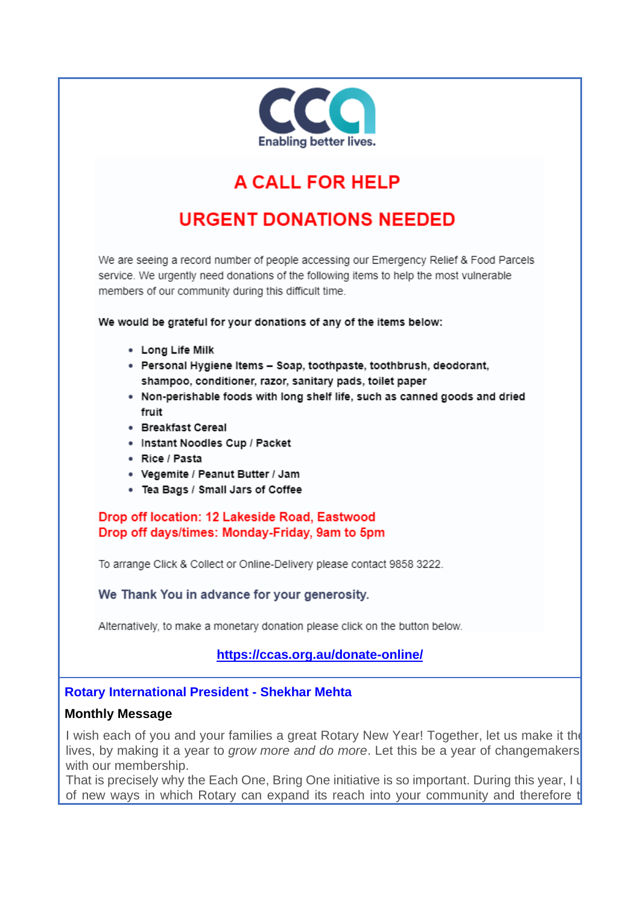

# **A CALL FOR HELP**

## **URGENT DONATIONS NEEDED**

We are seeing a record number of people accessing our Emergency Relief & Food Parcels service. We urgently need donations of the following items to help the most vulnerable members of our community during this difficult time.

We would be grateful for your donations of any of the items below:

- Long Life Milk
- · Personal Hygiene Items Soap, toothpaste, toothbrush, deodorant, shampoo, conditioner, razor, sanitary pads, toilet paper
- . Non-perishable foods with long shelf life, such as canned goods and dried fruit
- Breakfast Cereal
- · Instant Noodles Cup / Packet
- Rice / Pasta
- Vegemite / Peanut Butter / Jam
- . Tea Bags / Small Jars of Coffee

Drop off location: 12 Lakeside Road, Eastwood Drop off days/times: Monday-Friday, 9am to 5pm

To arrange Click & Collect or Online-Delivery please contact 9858 3222.

We Thank You in advance for your generosity.

Alternatively, to make a monetary donation please click on the button below.

## https://ccas.org.au/donate-online/

## **Rotary International President - Shekhar Mehta**

## **Monthly Message**

I wish each of you and your families a great Rotary New Year! Together, let us make it the lives, by making it a year to *grow more and do more*. Let this be a year of changemakers with our membership.

That is precisely why the Each One, Bring One initiative is so important. During this year, I u of new ways in which Rotary can expand its reach into your community and therefore to